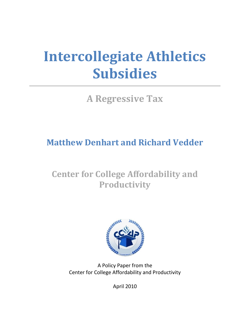# **Intercollegiate Athletics Subsidies**

**A Regressive Tax**

# **Matthew Denhart and Richard Vedder**

# **Center for College Affordability and Productivity**



A Policy Paper from the Center for College Affordability and Productivity

April 2010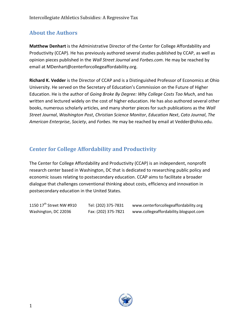## **About the Authors**

**Matthew Denhart** is the Administrative Director of the Center for College Affordability and Productivity (CCAP). He has previously authored several studies published by CCAP, as well as opinion pieces published in the *Wall Street Journal* and *Forbes.com*. He may be reached by email at MDenhart@centerforcollegeaffordability.org.

**Richard K. Vedder** is the Director of CCAP and is a Distinguished Professor of Economics at Ohio University. He served on the Secretary of Education's Commission on the Future of Higher Education. He is the author of *Going Broke By Degree: Why College Costs Too Much*, and has written and lectured widely on the cost of higher education. He has also authored several other books, numerous scholarly articles, and many shorter pieces for such publications as the *Wall Street Journal*, *Washington Post*, *Christian Science Monitor*, *Education Next*, *Cato Journal*, *The American Enterprise*, *Society*, and *Forbes*. He may be reached by email at Vedder@ohio.edu.

### **Center for College Affordability and Productivity**

The Center for College Affordability and Productivity (CCAP) is an independent, nonprofit research center based in Washington, DC that is dedicated to researching public policy and economic issues relating to postsecondary education. CCAP aims to facilitate a broader dialogue that challenges conventional thinking about costs, efficiency and innovation in postsecondary education in the United States.

1150 17th Street NW #910 Tel: (202) 375-7831 www.centerforcollegeaffordability.org Washington, DC 22036 Fax: (202) 375-7821 www.collegeaffordability.blogspot.com

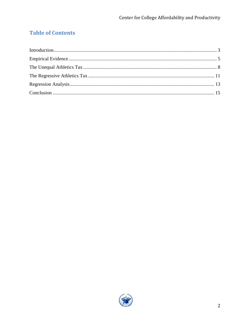# **Table of Contents**

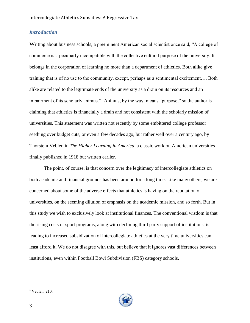#### <span id="page-3-0"></span>*Introduction*

Writing about business schools, a preeminent American social scientist once said, "A college of commerce is…peculiarly incompatible with the collective cultural purpose of the university. It belongs in the corporation of learning no more than a department of athletics. Both alike give training that is of no use to the community, except, perhaps as a sentimental excitement…. Both alike are related to the legitimate ends of the university as a drain on its resources and an impairment of its scholarly animus."<sup>1</sup> Animus, by the way, means "purpose," so the author is claiming that athletics is financially a drain and not consistent with the scholarly mission of universities. This statement was written not recently by some embittered college professor seething over budget cuts, or even a few decades ago, but rather well over a century ago, by Thorstein Veblen in *The Higher Learning in America,* a classic work on American universities finally published in 1918 but written earlier.

The point, of course, is that concern over the legitimacy of intercollegiate athletics on both academic and financial grounds has been around for a long time. Like many others, we are concerned about some of the adverse effects that athletics is having on the reputation of universities, on the seeming dilution of emphasis on the academic mission, and so forth. But in this study we wish to exclusively look at institutional finances. The conventional wisdom is that the rising costs of sport programs, along with declining third party support of institutions, is leading to increased subsidization of intercollegiate athletics at the very time universities can least afford it. We do not disagree with this, but believe that it ignores vast differences between institutions, even within Football Bowl Subdivision (FBS) category schools.



 $<sup>1</sup>$  Veblen, 210.</sup>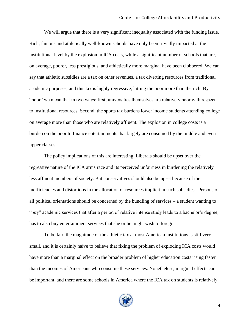We will argue that there is a very significant inequality associated with the funding issue. Rich, famous and athletically well-known schools have only been trivially impacted at the institutional level by the explosion in ICA costs, while a significant number of schools that are, on average, poorer, less prestigious, and athletically more marginal have been clobbered. We can say that athletic subsidies are a tax on other revenues, a tax diverting resources from traditional academic purposes, and this tax is highly regressive, hitting the poor more than the rich. By "poor" we mean that in two ways: first, universities themselves are relatively poor with respect to institutional resources. Second, the sports tax burdens lower income students attending college on average more than those who are relatively affluent. The explosion in college costs is a burden on the poor to finance entertainments that largely are consumed by the middle and even upper classes.

The policy implications of this are interesting. Liberals should be upset over the regressive nature of the ICA arms race and its perceived unfairness in burdening the relatively less affluent members of society. But conservatives should also be upset because of the inefficiencies and distortions in the allocation of resources implicit in such subsidies. Persons of all political orientations should be concerned by the bundling of services – a student wanting to "buy" academic services that after a period of relative intense study leads to a bachelor's degree, has to also buy entertainment services that she or he might wish to forego.

To be fair, the magnitude of the athletic tax at most American institutions is still very small, and it is certainly naïve to believe that fixing the problem of exploding ICA costs would have more than a marginal effect on the broader problem of higher education costs rising faster than the incomes of Americans who consume these services. Nonetheless, marginal effects can be important, and there are some schools in America where the ICA tax on students is relatively

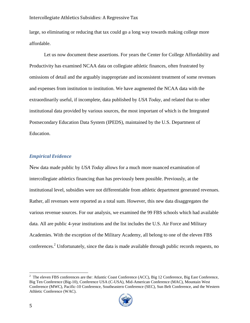#### Intercollegiate Athletics Subsidies: A Regressive Tax

large, so eliminating or reducing that tax could go a long way towards making college more affordable.

Let us now document these assertions. For years the Center for College Affordability and Productivity has examined NCAA data on collegiate athletic finances, often frustrated by omissions of detail and the arguably inappropriate and inconsistent treatment of some revenues and expenses from institution to institution. We have augmented the NCAA data with the extraordinarily useful, if incomplete, data published by *USA Today*, and related that to other institutional data provided by various sources, the most important of which is the Integrated Postsecondary Education Data System (IPEDS), maintained by the U.S. Department of Education.

#### <span id="page-5-0"></span>*Empirical Evidence*

New data made public by *USA Today* allows for a much more nuanced examination of intercollegiate athletics financing than has previously been possible. Previously, at the institutional level, subsidies were not differentiable from athletic department generated revenues. Rather, all revenues were reported as a total sum. However, this new data disaggregates the various revenue sources. For our analysis, we examined the 99 FBS schools which had available data. All are public 4-year institutions and the list includes the U.S. Air Force and Military Academies. With the exception of the Military Academy, all belong to one of the eleven FBS conferences.<sup>2</sup> Unfortunately, since the data is made available through public records requests, no

 $2^2$  The eleven FBS conferences are the: Atlantic Coast Conference (ACC), Big 12 Conference, Big East Conference, Big Ten Conference (Big-10), Conference USA (C-USA), Mid-American Conference (MAC), Mountain West Conference (MWC), Pacific-10 Conference, Southeastern Conference (SEC), Sun Belt Conference, and the Western Athletic Conference (WAC).

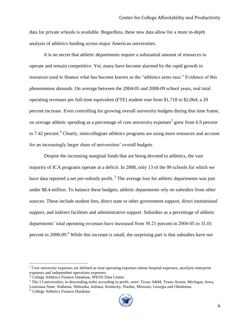data for private schools is available. Regardless, these new data allow for a more in-depth analysis of athletics funding across major American universities.

It is no secret that athletic departments require a substantial amount of resources to operate and remain competitive. Yet, many have become alarmed by the rapid growth in resources used to finance what has become known as the "athletics arms race." Evidence of this phenomenon abounds. On average between the 2004-05 and 2008-09 school years, real total operating revenues per full-time equivalent (FTE) student rose from \$1,718 to \$2,064; a 20 percent increase. Even controlling for growing overall university budgets during that time frame, on average athletic spending as a percentage of core university expenses<sup>3</sup> grew from 6.9 percent to 7.42 percent.<sup>4</sup> Clearly, intercollegiate athletics programs are using more resources and account for an increasingly larger share of universities' overall budgets.

Despite the increasing marginal funds that are being devoted to athletics, the vast majority of ICA programs operate at a deficit. In 2008, only 13 of the 99 schools for which we have data reported a net pre-subsidy profit.<sup>5</sup> The average loss for athletic departments was just under \$8.4 million. To balance these budgets, athletic departments rely on subsidies from other sources. These include student fees, direct state or other government support, direct institutional support, and indirect facilities and administrative support. Subsidies as a percentage of athletic departments' total operating revenues have increased from 30.21 percent in 2004-05 to 31.01 percent in 2008-09.<sup>6</sup> While this increase is small, the surprising part is that subsidies have not

l



 $3$  Core university expenses are defined as total operating expenses minus hospital expenses, auxiliary enterprise expenses and independent operations expenses.

<sup>4</sup> College Athletics Finance Database, IPEDS Data Center.

<sup>&</sup>lt;sup>5</sup> The 13 universities, in descending order according to profit, were: Texas A&M, Texas-Austin, Michigan, Iowa, Louisiana State, Alabama, Nebraska, Indiana, Kentucky, Purdue, Missouri, Georgia and Oklahoma.

<sup>&</sup>lt;sup>6</sup> College Athletics Finance Database.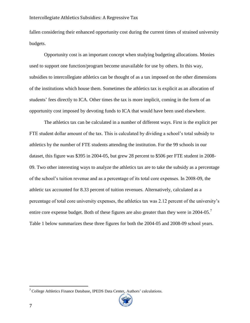#### Intercollegiate Athletics Subsidies: A Regressive Tax

fallen considering their enhanced opportunity cost during the current times of strained university budgets.

Opportunity cost is an important concept when studying budgeting allocations. Monies used to support one function/program become unavailable for use by others. In this way, subsidies to intercollegiate athletics can be thought of as a tax imposed on the other dimensions of the institutions which house them. Sometimes the athletics tax is explicit as an allocation of students' fees directly to ICA. Other times the tax is more implicit, coming in the form of an opportunity cost imposed by devoting funds to ICA that would have been used elsewhere.

The athletics tax can be calculated in a number of different ways. First is the explicit per FTE student dollar amount of the tax. This is calculated by dividing a school's total subsidy to athletics by the number of FTE students attending the institution. For the 99 schools in our dataset, this figure was \$395 in 2004-05, but grew 28 percent to \$506 per FTE student in 2008- 09. Two other interesting ways to analyze the athletics tax are to take the subsidy as a percentage of the school's tuition revenue and as a percentage of its total core expenses. In 2008-09, the athletic tax accounted for 8.33 percent of tuition revenues. Alternatively, calculated as a percentage of total core university expenses, the athletics tax was 2.12 percent of the university's entire core expense budget. Both of these figures are also greater than they were in 2004-05.<sup>7</sup> Table 1 below summarizes these three figures for both the 2004-05 and 2008-09 school years.

<sup>&</sup>lt;sup>7</sup> College Athletics Finance Database, IPEDS Data Center, Authors' calculations.

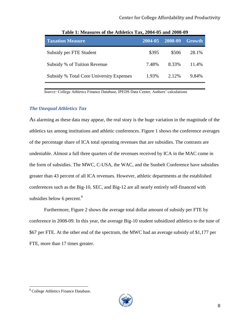| <b>Taxation Measure</b>                  | 2004-05 | $-2008 - 09$ | <b>Growth</b> |
|------------------------------------------|---------|--------------|---------------|
| Subsidy per FTE Student                  | \$395   | \$506        | 28.1%         |
| Subsidy % of Tuition Revenue             | 7.48%   | 8.33%        | 11.4%         |
| Subsidy % Total Core University Expenses | 1.93%   | 2.12%        | 9.84%         |

**Table 1: Measures of the Athletics Tax, 2004-05 and 2008-09**

*Source:* College Athletics Finance Database, IPEDS Data Center, Authors' calculations

#### <span id="page-8-0"></span>*The Unequal Athletics Tax*

As alarming as these data may appear, the real story is the huge variation in the magnitude of the athletics tax among institutions and athletic conferences. Figure 1 shows the conference averages of the percentage share of ICA total operating revenues that are subsidies. The contrasts are undeniable. Almost a full three quarters of the revenues received by ICA in the MAC come in the form of subsidies. The MWC, C-USA, the WAC, and the Sunbelt Conference have subsidies greater than 43 percent of all ICA revenues. However, athletic departments at the established conferences such as the Big-10, SEC, and Big-12 are all nearly entirely self-financed with subsidies below 6 percent.<sup>8</sup>

Furthermore, Figure 2 shows the average total dollar amount of subsidy per FTE by conference in 2008-09. In this year, the average Big-10 student subsidized athletics to the tune of \$67 per FTE. At the other end of the spectrum, the MWC had an average subsidy of \$1,177 per FTE, more than 17 times greater.



<sup>&</sup>lt;sup>8</sup> College Athletics Finance Database.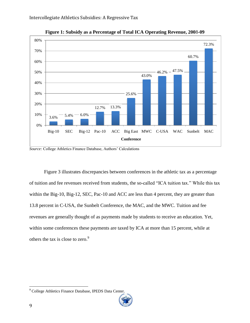

**Figure 1: Subsidy as a Percentage of Total ICA Operating Revenue, 200**8**-09**

Figure 3 illustrates discrepancies between conferences in the athletic tax as a percentage of tuition and fee revenues received from students, the so-called "ICA tuition tax." While this tax within the Big-10, Big-12, SEC, Pac-10 and ACC are less than 4 percent, they are greater than 13.8 percent in C-USA, the Sunbelt Conference, the MAC, and the MWC. Tuition and fee revenues are generally thought of as payments made by students to receive an education. Yet, within some conferences these payments are taxed by ICA at more than 15 percent, while at others the tax is close to zero.<sup>9</sup>

*Source:* College Athletics Finance Database, Authors' Calculations

<sup>&</sup>lt;sup>9</sup> College Athletics Finance Database, IPEDS Data Center.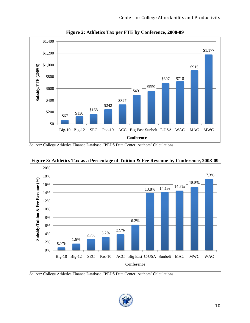

**Figure 2: Athletics Tax per FTE by Conference, 2008-09**

*Source:* College Athletics Finance Database, IPEDS Data Center, Authors' Calculations



**Figure 3: Athletics Tax as a Percentage of Tuition & Fee Revenue by Conference, 2008-09**

*Source:* College Athletics Finance Database, IPEDS Data Center, Authors' Calculations

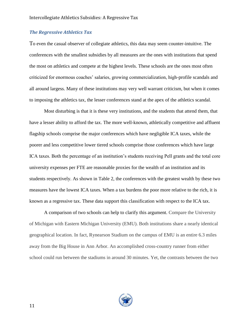#### <span id="page-11-0"></span>*The Regressive Athletics Tax*

To even the casual observer of collegiate athletics, this data may seem counter-intuitive. The conferences with the smallest subsidies by all measures are the ones with institutions that spend the most on athletics and compete at the highest levels. These schools are the ones most often criticized for enormous coaches' salaries, growing commercialization, high-profile scandals and all around largess. Many of these institutions may very well warrant criticism, but when it comes to imposing the athletics tax, the lesser conferences stand at the apex of the athletics scandal.

Most disturbing is that it is these very institutions, and the students that attend them, that have a lesser ability to afford the tax. The more well-known, athletically competitive and affluent flagship schools comprise the major conferences which have negligible ICA taxes, while the poorer and less competitive lower tiered schools comprise those conferences which have large ICA taxes. Both the percentage of an institution's students receiving Pell grants and the total core university expenses per FTE are reasonable proxies for the wealth of an institution and its students respectively. As shown in Table 2, the conferences with the greatest wealth by these two measures have the lowest ICA taxes. When a tax burdens the poor more relative to the rich, it is known as a regressive tax. These data support this classification with respect to the ICA tax.

A comparison of two schools can help to clarify this argument. Compare the University of Michigan with Eastern Michigan University (EMU). Both institutions share a nearly identical geographical location. In fact, Rynearson Stadium on the campus of EMU is an entire 6.3 miles away from the Big House in Ann Arbor. An accomplished cross-country runner from either school could run between the stadiums in around 30 minutes. Yet, the contrasts between the two

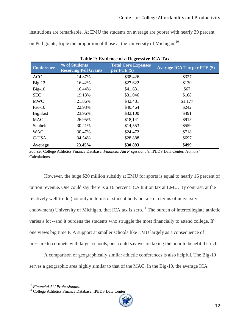institutions are remarkable. At EMU the students on average are poorer with nearly 39 percent on Pell grants, triple the proportion of those at the University of Michigan.<sup>10</sup>

| <b>Conference</b> | % of Students<br><b>Receiving Pell Grants</b> | 0-<br><b>Total Core Expenses</b><br>per $\text{FTE}$ (\$) | <b>Average ICA Tax per FTE (\$)</b> |
|-------------------|-----------------------------------------------|-----------------------------------------------------------|-------------------------------------|
| <b>ACC</b>        | 14.87%                                        | \$38,426                                                  | \$327                               |
| $Big-12$          | 16.42%                                        | \$27,622                                                  | \$130                               |
| $Big-10$          | 16.44%                                        | \$41,631                                                  | \$67                                |
| <b>SEC</b>        | 19.13%                                        | \$31,046                                                  | \$168                               |
| <b>MWC</b>        | 21.86%                                        | \$42,481                                                  | \$1,177                             |
| $Pac-10$          | 22.93%                                        | \$40,464                                                  | \$242                               |
| <b>Big East</b>   | 23.96%                                        | \$32,100                                                  | \$491                               |
| <b>MAC</b>        | 26.95%                                        | \$18,141                                                  | \$915                               |
| Sunbelt           | 30.41%                                        | \$14,553                                                  | \$559                               |
| <b>WAC</b>        | 30.47%                                        | \$24,472                                                  | \$718                               |
| C-USA             | 34.54%                                        | \$28,888                                                  | \$697                               |
| Average           | 23.45%                                        | \$30,893                                                  | \$499                               |

**Table 2: Evidence of a Regressive ICA Tax**

*Source:* College Athletics Finance Database, *Financial Aid Professionals*, IPEDS Data Center, Authors' Calculations

However, the huge \$20 million subsidy at EMU for sports is equal to nearly 16 percent of tuition revenue. One could say there is a 16 percent ICA tuition tax at EMU. By contrast, at the relatively well-to-do (not only in terms of student body but also in terms of university endowment) University of Michigan, that ICA tax is zero.<sup>11</sup> The burden of intercollegiate athletic varies a lot --and it burdens the students who struggle the most financially to attend college. If one views big time ICA support at smaller schools like EMU largely as a consequence of pressure to compete with larger schools, one could say we are taxing the poor to benefit the rich.

A comparison of geographically similar athletic conferences is also helpful. The Big-10 serves a geographic area highly similar to that of the MAC. In the Big-10, the average ICA

<sup>&</sup>lt;sup>11</sup> College Athletics Finance Database, IPEDS Data Center.



<sup>10</sup> *Financial Aid Professionals.*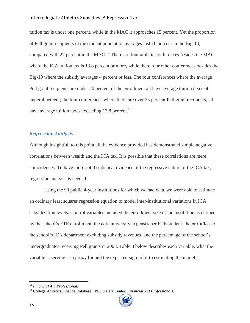#### Intercollegiate Athletics Subsidies: A Regressive Tax

tuition tax is under one percent, while in the MAC it approaches 15 percent. Yet the proportion of Pell grant recipients in the student population averages just 16 percent in the Big-10, compared with 27 percent in the MAC.<sup>12</sup> There are four athletic conferences besides the MAC where the ICA tuition tax is 13.8 percent or more, while there four other conferences besides the Big-10 where the subsidy averages 4 percent or less. The four conferences where the average Pell grant recipients are under 20 percent of the enrollment all have average tuition taxes of under 4 percent; the four conferences where there are over 25 percent Pell grant recipients, all have average tuition taxes exceeding 13.8 percent.<sup>13</sup>

#### <span id="page-13-0"></span>*Regression Analysis*

Although insightful, to this point all the evidence provided has demonstrated simple negative correlations between wealth and the ICA tax. It is possible that these correlations are mere coincidences. To have more solid statistical evidence of the regressive nature of the ICA tax, regression analysis is needed.

Using the 99 public 4-year institutions for which we had data, we were able to estimate an ordinary least squares regression equation to model inter-institutional variations in ICA subsidization levels. Control variables included the enrollment size of the institution as defined by the school's FTE enrollment, the core university expenses per FTE student, the profit/loss of the school's ICA department excluding subsidy revenues, and the percentage of the school's undergraduates receiving Pell grants in 2008. Table 3 below describes each variable, what the variable is serving as a proxy for and the expected sign prior to estimating the model.

<sup>13</sup> College Athletics Finance Database, IPEDS Data Center, *Financial Aid Professionals.*



l

<sup>12</sup> *Financial Aid Professionals.*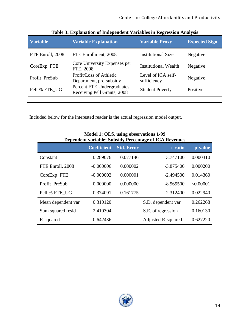| <b>Variable</b>  | <b>Variable Explanation</b>                               | <b>Variable Proxy</b>             | <b>Expected Sign</b> |
|------------------|-----------------------------------------------------------|-----------------------------------|----------------------|
| FTE Enroll, 2008 | FTE Enrollment, 2008                                      | <b>Institutional Size</b>         | Negative             |
| CoreExp_FTE      | Core University Expenses per<br>FTE, 2008                 | <b>Institutional Wealth</b>       | Negative             |
| Profit_PreSub    | Profit/Loss of Athletic<br>Department, pre-subsidy        | Level of ICA self-<br>sufficiency | Negative             |
| Pell % FTE_UG    | Percent FTE Undergraduates<br>Receiving Pell Grants, 2008 | <b>Student Poverty</b>            | Positive             |
|                  |                                                           |                                   |                      |

**Table 3: Explanation of Independent Variables in Regression Analysis**

Included below for the interested reader is the actual regression model output.

| Dependent variable: Subsidy Percentage of ICA Revenues |                    |                   |                           |           |  |  |
|--------------------------------------------------------|--------------------|-------------------|---------------------------|-----------|--|--|
|                                                        | <b>Coefficient</b> | <b>Std. Error</b> | t-ratio                   | p-value   |  |  |
| Constant                                               | 0.289076           | 0.077146          | 3.747100                  | 0.000310  |  |  |
| FTE Enroll, 2008                                       | $-0.000006$        | 0.000002          | $-3.875400$               | 0.000200  |  |  |
| CoreExp_FTE                                            | $-0.000002$        | 0.000001          | $-2.494500$               | 0.014360  |  |  |
| Profit PreSub                                          | 0.000000           | 0.000000          | $-8.565500$               | < 0.00001 |  |  |
| Pell % FTE UG                                          | 0.374091           | 0.161775          | 2.312400                  | 0.022940  |  |  |
| Mean dependent var                                     | 0.310120           |                   | S.D. dependent var        | 0.262268  |  |  |
| Sum squared resid                                      | 2.410304           |                   | S.E. of regression        | 0.160130  |  |  |
| R-squared                                              | 0.642436           |                   | <b>Adjusted R-squared</b> | 0.627220  |  |  |

**Model 1: OLS, using observations 1-99 Dependent variable: Subsidy Percentage of ICA Revenues**

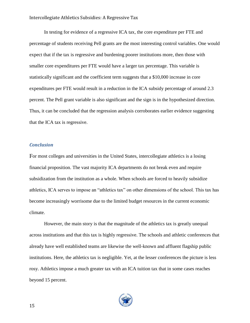In testing for evidence of a regressive ICA tax, the core expenditure per FTE and percentage of students receiving Pell grants are the most interesting control variables. One would expect that if the tax is regressive and burdening poorer institutions more, then those with smaller core expenditures per FTE would have a larger tax percentage. This variable is statistically significant and the coefficient term suggests that a \$10,000 increase in core expenditures per FTE would result in a reduction in the ICA subsidy percentage of around 2.3 percent. The Pell grant variable is also significant and the sign is in the hypothesized direction. Thus, it can be concluded that the regression analysis corroborates earlier evidence suggesting that the ICA tax is regressive.

#### <span id="page-15-0"></span>*Conclusion*

For most colleges and universities in the United States, intercollegiate athletics is a losing financial proposition. The vast majority ICA departments do not break even and require subsidization from the institution as a whole. When schools are forced to heavily subsidize athletics, ICA serves to impose an "athletics tax" on other dimensions of the school. This tax has become increasingly worrisome due to the limited budget resources in the current economic climate.

However, the main story is that the magnitude of the athletics tax is greatly unequal across institutions and that this tax is highly regressive. The schools and athletic conferences that already have well established teams are likewise the well-known and affluent flagship public institutions. Here, the athletics tax is negligible. Yet, at the lesser conferences the picture is less rosy. Athletics impose a much greater tax with an ICA tuition tax that in some cases reaches beyond 15 percent.

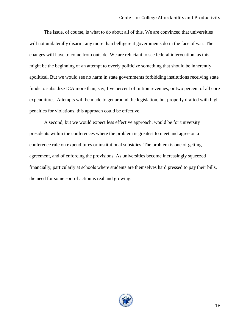The issue, of course, is what to do about all of this. We are convinced that universities will not unilaterally disarm, any more than belligerent governments do in the face of war. The changes will have to come from outside. We are reluctant to see federal intervention, as this might be the beginning of an attempt to overly politicize something that should be inherently apolitical. But we would see no harm in state governments forbidding institutions receiving state funds to subsidize ICA more than, say, five percent of tuition revenues, or two percent of all core expenditures. Attempts will be made to get around the legislation, but properly drafted with high penalties for violations, this approach could be effective.

A second, but we would expect less effective approach, would be for university presidents within the conferences where the problem is greatest to meet and agree on a conference rule on expenditures or institutional subsidies. The problem is one of getting agreement, and of enforcing the provisions. As universities become increasingly squeezed financially, particularly at schools where students are themselves hard pressed to pay their bills, the need for some sort of action is real and growing.